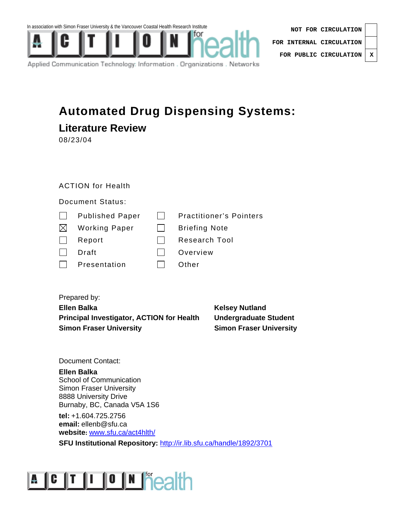



| NOT FOR CIRCULATION              |  |  |
|----------------------------------|--|--|
| FOR INTERNAL CIRCULATION $\vert$ |  |  |
| FOR PUBLIC CIRCULATION   X       |  |  |

Applied Communication Technology: Information . Organizations . Networks

#### **Automated Drug Dispensing Systems:**

| <b>Literature Review</b> |  |
|--------------------------|--|
|--------------------------|--|

08/23/04

#### ACTION for Health

Document Status:

| <b>Published Paper</b> | <b>Practitioner's Pointers</b> |
|------------------------|--------------------------------|
|------------------------|--------------------------------|

- $\boxtimes$  Working Paper  $\qquad \Box$  Briefing Note
- Report Research Tool
- Draft Draft **Draft** Overview
- $\Box$  Presentation  $\Box$  Other

#### Prepared by:

**Ellen Balka** Kelsey Nutland **Principal Investigator, ACTION for Health Undergraduate Student Simon Fraser University Simon Fraser University** 

Document Contact:

#### **Ellen Balka**

School of Communication Simon Fraser University 8888 University Drive Burnaby, BC, Canada V5A 1S6

**tel:** +1.604.725.2756 **email:** ellenb@sfu.ca **website:** www.sfu.ca/act4hlth/

**SFU Institutional Repository: http://ir.lib.sfu.ca/handle/1892/3701** 

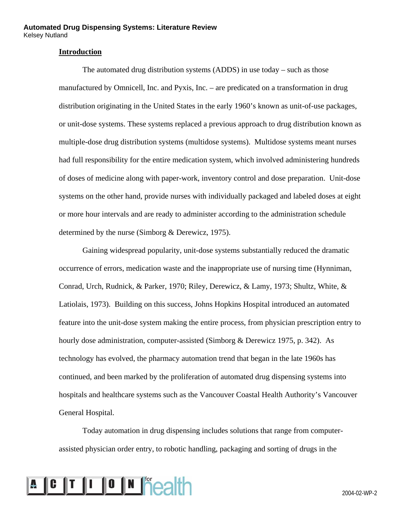#### **Introduction**

The automated drug distribution systems (ADDS) in use today – such as those manufactured by Omnicell, Inc. and Pyxis, Inc. – are predicated on a transformation in drug distribution originating in the United States in the early 1960's known as unit-of-use packages, or unit-dose systems. These systems replaced a previous approach to drug distribution known as multiple-dose drug distribution systems (multidose systems). Multidose systems meant nurses had full responsibility for the entire medication system, which involved administering hundreds of doses of medicine along with paper-work, inventory control and dose preparation. Unit-dose systems on the other hand, provide nurses with individually packaged and labeled doses at eight or more hour intervals and are ready to administer according to the administration schedule determined by the nurse (Simborg & Derewicz, 1975).

Gaining widespread popularity, unit-dose systems substantially reduced the dramatic occurrence of errors, medication waste and the inappropriate use of nursing time (Hynniman, Conrad, Urch, Rudnick, & Parker, 1970; Riley, Derewicz, & Lamy, 1973; Shultz, White, & Latiolais, 1973). Building on this success, Johns Hopkins Hospital introduced an automated feature into the unit-dose system making the entire process, from physician prescription entry to hourly dose administration, computer-assisted (Simborg & Derewicz 1975, p. 342). As technology has evolved, the pharmacy automation trend that began in the late 1960s has continued, and been marked by the proliferation of automated drug dispensing systems into hospitals and healthcare systems such as the Vancouver Coastal Health Authority's Vancouver General Hospital.

Today automation in drug dispensing includes solutions that range from computerassisted physician order entry, to robotic handling, packaging and sorting of drugs in the

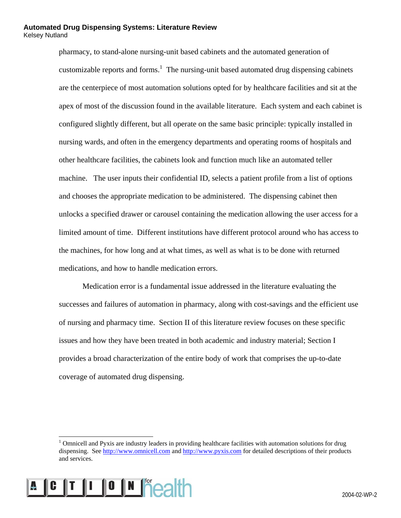pharmacy, to stand-alone nursing-unit based cabinets and the automated generation of customizable reports and forms.<sup>1</sup> The nursing-unit based automated drug dispensing cabinets are the centerpiece of most automation solutions opted for by healthcare facilities and sit at the apex of most of the discussion found in the available literature. Each system and each cabinet is configured slightly different, but all operate on the same basic principle: typically installed in nursing wards, and often in the emergency departments and operating rooms of hospitals and other healthcare facilities, the cabinets look and function much like an automated teller machine. The user inputs their confidential ID, selects a patient profile from a list of options and chooses the appropriate medication to be administered. The dispensing cabinet then unlocks a specified drawer or carousel containing the medication allowing the user access for a limited amount of time. Different institutions have different protocol around who has access to the machines, for how long and at what times, as well as what is to be done with returned medications, and how to handle medication errors.

Medication error is a fundamental issue addressed in the literature evaluating the successes and failures of automation in pharmacy, along with cost-savings and the efficient use of nursing and pharmacy time. Section II of this literature review focuses on these specific issues and how they have been treated in both academic and industry material; Section I provides a broad characterization of the entire body of work that comprises the up-to-date coverage of automated drug dispensing.

<sup>|&</sup>lt;br>|<br>| <sup>1</sup> Omnicell and Pyxis are industry leaders in providing healthcare facilities with automation solutions for drug dispensing. See http://www.omnicell.com and http://www.pyxis.com for detailed descriptions of their products and services.

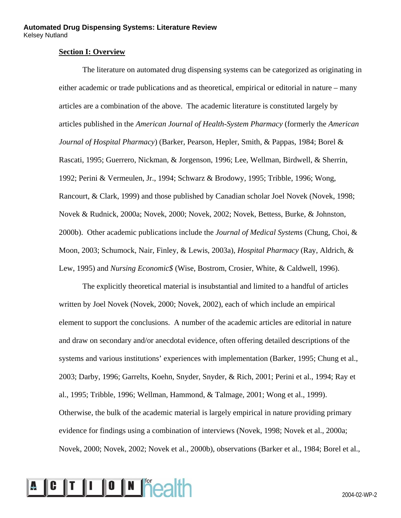#### **Section I: Overview**

The literature on automated drug dispensing systems can be categorized as originating in either academic or trade publications and as theoretical, empirical or editorial in nature – many articles are a combination of the above. The academic literature is constituted largely by articles published in the *American Journal of Health-System Pharmacy* (formerly the *American Journal of Hospital Pharmacy*) (Barker, Pearson, Hepler, Smith, & Pappas, 1984; Borel & Rascati, 1995; Guerrero, Nickman, & Jorgenson, 1996; Lee, Wellman, Birdwell, & Sherrin, 1992; Perini & Vermeulen, Jr., 1994; Schwarz & Brodowy, 1995; Tribble, 1996; Wong, Rancourt, & Clark, 1999) and those published by Canadian scholar Joel Novek (Novek, 1998; Novek & Rudnick, 2000a; Novek, 2000; Novek, 2002; Novek, Bettess, Burke, & Johnston, 2000b). Other academic publications include the *Journal of Medical Systems* (Chung, Choi, & Moon, 2003; Schumock, Nair, Finley, & Lewis, 2003a), *Hospital Pharmacy* (Ray, Aldrich, & Lew, 1995) and *Nursing Economic\$* (Wise, Bostrom, Crosier, White, & Caldwell, 1996).

The explicitly theoretical material is insubstantial and limited to a handful of articles written by Joel Novek (Novek, 2000; Novek, 2002), each of which include an empirical element to support the conclusions. A number of the academic articles are editorial in nature and draw on secondary and/or anecdotal evidence, often offering detailed descriptions of the systems and various institutions' experiences with implementation (Barker, 1995; Chung et al., 2003; Darby, 1996; Garrelts, Koehn, Snyder, Snyder, & Rich, 2001; Perini et al., 1994; Ray et al., 1995; Tribble, 1996; Wellman, Hammond, & Talmage, 2001; Wong et al., 1999). Otherwise, the bulk of the academic material is largely empirical in nature providing primary evidence for findings using a combination of interviews (Novek, 1998; Novek et al., 2000a; Novek, 2000; Novek, 2002; Novek et al., 2000b), observations (Barker et al., 1984; Borel et al.,

### A C T I O N **F**CALL COMPLETED A 2004-02-WP-2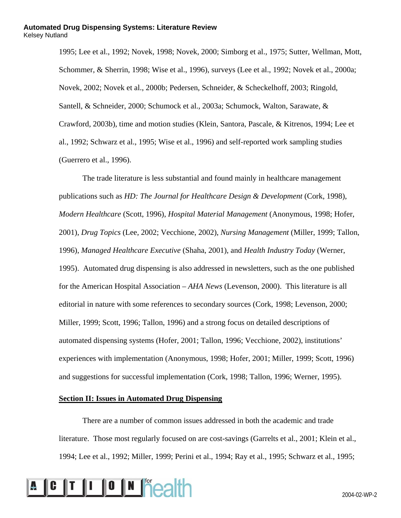1995; Lee et al., 1992; Novek, 1998; Novek, 2000; Simborg et al., 1975; Sutter, Wellman, Mott, Schommer, & Sherrin, 1998; Wise et al., 1996), surveys (Lee et al., 1992; Novek et al., 2000a; Novek, 2002; Novek et al., 2000b; Pedersen, Schneider, & Scheckelhoff, 2003; Ringold, Santell, & Schneider, 2000; Schumock et al., 2003a; Schumock, Walton, Sarawate, & Crawford, 2003b), time and motion studies (Klein, Santora, Pascale, & Kitrenos, 1994; Lee et al., 1992; Schwarz et al., 1995; Wise et al., 1996) and self-reported work sampling studies (Guerrero et al., 1996).

The trade literature is less substantial and found mainly in healthcare management publications such as *HD: The Journal for Healthcare Design & Development* (Cork, 1998), *Modern Healthcare* (Scott, 1996), *Hospital Material Management* (Anonymous, 1998; Hofer, 2001), *Drug Topics* (Lee, 2002; Vecchione, 2002), *Nursing Management* (Miller, 1999; Tallon, 1996), *Managed Healthcare Executive* (Shaha, 2001), and *Health Industry Today* (Werner, 1995). Automated drug dispensing is also addressed in newsletters, such as the one published for the American Hospital Association – *AHA News* (Levenson, 2000). This literature is all editorial in nature with some references to secondary sources (Cork, 1998; Levenson, 2000; Miller, 1999; Scott, 1996; Tallon, 1996) and a strong focus on detailed descriptions of automated dispensing systems (Hofer, 2001; Tallon, 1996; Vecchione, 2002), institutions' experiences with implementation (Anonymous, 1998; Hofer, 2001; Miller, 1999; Scott, 1996) and suggestions for successful implementation (Cork, 1998; Tallon, 1996; Werner, 1995).

#### **Section II: Issues in Automated Drug Dispensing**

There are a number of common issues addressed in both the academic and trade literature. Those most regularly focused on are cost-savings (Garrelts et al., 2001; Klein et al., 1994; Lee et al., 1992; Miller, 1999; Perini et al., 1994; Ray et al., 1995; Schwarz et al., 1995;

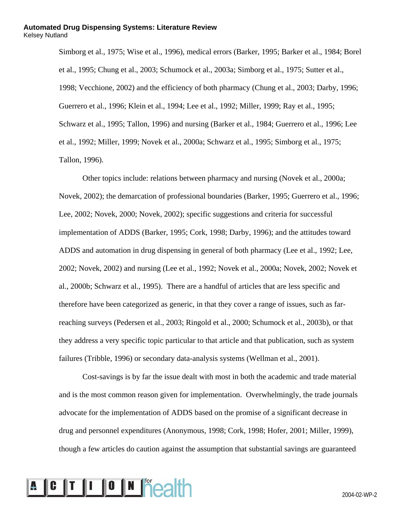Simborg et al., 1975; Wise et al., 1996), medical errors (Barker, 1995; Barker et al., 1984; Borel et al., 1995; Chung et al., 2003; Schumock et al., 2003a; Simborg et al., 1975; Sutter et al., 1998; Vecchione, 2002) and the efficiency of both pharmacy (Chung et al., 2003; Darby, 1996; Guerrero et al., 1996; Klein et al., 1994; Lee et al., 1992; Miller, 1999; Ray et al., 1995; Schwarz et al., 1995; Tallon, 1996) and nursing (Barker et al., 1984; Guerrero et al., 1996; Lee et al., 1992; Miller, 1999; Novek et al., 2000a; Schwarz et al., 1995; Simborg et al., 1975; Tallon, 1996).

Other topics include: relations between pharmacy and nursing (Novek et al., 2000a; Novek, 2002); the demarcation of professional boundaries (Barker, 1995; Guerrero et al., 1996; Lee, 2002; Novek, 2000; Novek, 2002); specific suggestions and criteria for successful implementation of ADDS (Barker, 1995; Cork, 1998; Darby, 1996); and the attitudes toward ADDS and automation in drug dispensing in general of both pharmacy (Lee et al., 1992; Lee, 2002; Novek, 2002) and nursing (Lee et al., 1992; Novek et al., 2000a; Novek, 2002; Novek et al., 2000b; Schwarz et al., 1995). There are a handful of articles that are less specific and therefore have been categorized as generic, in that they cover a range of issues, such as farreaching surveys (Pedersen et al., 2003; Ringold et al., 2000; Schumock et al., 2003b), or that they address a very specific topic particular to that article and that publication, such as system failures (Tribble, 1996) or secondary data-analysis systems (Wellman et al., 2001).

Cost-savings is by far the issue dealt with most in both the academic and trade material and is the most common reason given for implementation. Overwhelmingly, the trade journals advocate for the implementation of ADDS based on the promise of a significant decrease in drug and personnel expenditures (Anonymous, 1998; Cork, 1998; Hofer, 2001; Miller, 1999), though a few articles do caution against the assumption that substantial savings are guaranteed

# **A C T I O N Seatth** 2004-02-WP-2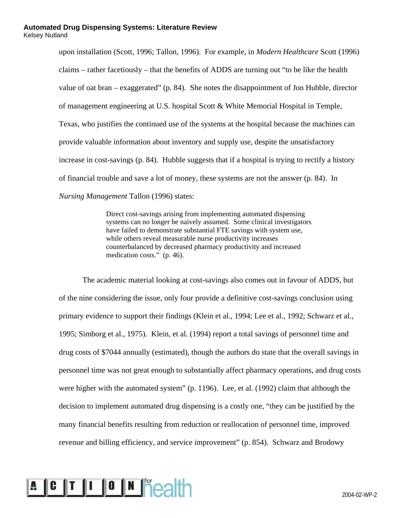upon installation (Scott, 1996; Tallon, 1996). For example, in *Modern Healthcare* Scott (1996) claims – rather facetiously – that the benefits of ADDS are turning out "to be like the health value of oat bran – exaggerated" (p. 84). She notes the disappointment of Jon Hubble, director of management engineering at U.S. hospital Scott & White Memorial Hospital in Temple, Texas, who justifies the continued use of the systems at the hospital because the machines can provide valuable information about inventory and supply use, despite the unsatisfactory increase in cost-savings (p. 84). Hubble suggests that if a hospital is trying to rectify a history of financial trouble and save a lot of money, these systems are not the answer (p. 84). In *Nursing Management* Tallon (1996) states:

> Direct cost-savings arising from implementing automated dispensing systems can no longer be naively assumed. Some clinical investigators have failed to demonstrate substantial FTE savings with system use, while others reveal measurable nurse productivity increases counterbalanced by decreased pharmacy productivity and increased medication costs." (p. 46).

The academic material looking at cost-savings also comes out in favour of ADDS, but of the nine considering the issue, only four provide a definitive cost-savings conclusion using primary evidence to support their findings (Klein et al., 1994; Lee et al., 1992; Schwarz et al., 1995; Simborg et al., 1975). Klein, et al. (1994) report a total savings of personnel time and drug costs of \$7044 annually (estimated), though the authors do state that the overall savings in personnel time was not great enough to substantially affect pharmacy operations, and drug costs were higher with the automated system" (p. 1196). Lee, et al. (1992) claim that although the decision to implement automated drug dispensing is a costly one, "they can be justified by the many financial benefits resulting from reduction or reallocation of personnel time, improved revenue and billing efficiency, and service improvement" (p. 854). Schwarz and Brodowy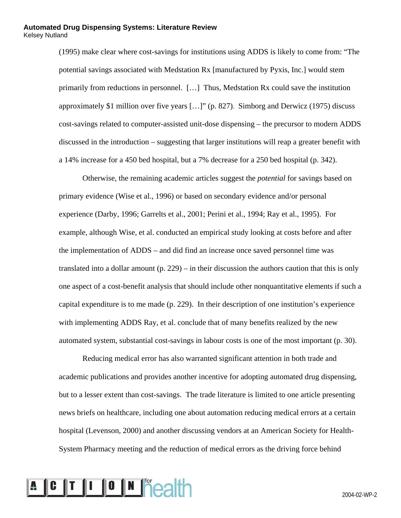(1995) make clear where cost-savings for institutions using ADDS is likely to come from: "The potential savings associated with Medstation Rx [manufactured by Pyxis, Inc.] would stem primarily from reductions in personnel. […] Thus, Medstation Rx could save the institution approximately \$1 million over five years […]" (p. 827). Simborg and Derwicz (1975) discuss cost-savings related to computer-assisted unit-dose dispensing – the precursor to modern ADDS discussed in the introduction – suggesting that larger institutions will reap a greater benefit with a 14% increase for a 450 bed hospital, but a 7% decrease for a 250 bed hospital (p. 342).

Otherwise, the remaining academic articles suggest the *potential* for savings based on primary evidence (Wise et al., 1996) or based on secondary evidence and/or personal experience (Darby, 1996; Garrelts et al., 2001; Perini et al., 1994; Ray et al., 1995). For example, although Wise, et al. conducted an empirical study looking at costs before and after the implementation of ADDS – and did find an increase once saved personnel time was translated into a dollar amount (p. 229) – in their discussion the authors caution that this is only one aspect of a cost-benefit analysis that should include other nonquantitative elements if such a capital expenditure is to me made (p. 229). In their description of one institution's experience with implementing ADDS Ray, et al. conclude that of many benefits realized by the new automated system, substantial cost-savings in labour costs is one of the most important (p. 30).

Reducing medical error has also warranted significant attention in both trade and academic publications and provides another incentive for adopting automated drug dispensing, but to a lesser extent than cost-savings. The trade literature is limited to one article presenting news briefs on healthcare, including one about automation reducing medical errors at a certain hospital (Levenson, 2000) and another discussing vendors at an American Society for Health-System Pharmacy meeting and the reduction of medical errors as the driving force behind

### A C T I O N **F**CALL COMPLETED A 2004-02-WP-2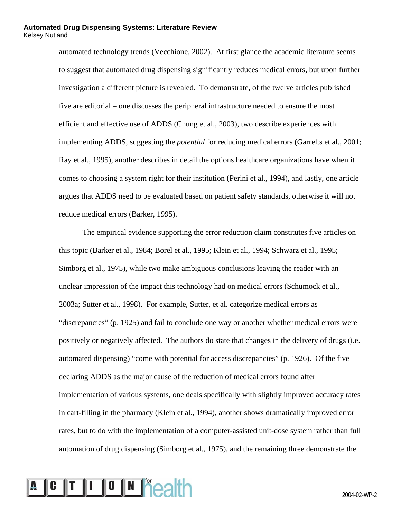automated technology trends (Vecchione, 2002). At first glance the academic literature seems to suggest that automated drug dispensing significantly reduces medical errors, but upon further investigation a different picture is revealed. To demonstrate, of the twelve articles published five are editorial – one discusses the peripheral infrastructure needed to ensure the most efficient and effective use of ADDS (Chung et al., 2003), two describe experiences with implementing ADDS, suggesting the *potential* for reducing medical errors (Garrelts et al., 2001; Ray et al., 1995), another describes in detail the options healthcare organizations have when it comes to choosing a system right for their institution (Perini et al., 1994), and lastly, one article argues that ADDS need to be evaluated based on patient safety standards, otherwise it will not reduce medical errors (Barker, 1995).

The empirical evidence supporting the error reduction claim constitutes five articles on this topic (Barker et al., 1984; Borel et al., 1995; Klein et al., 1994; Schwarz et al., 1995; Simborg et al., 1975), while two make ambiguous conclusions leaving the reader with an unclear impression of the impact this technology had on medical errors (Schumock et al., 2003a; Sutter et al., 1998). For example, Sutter, et al. categorize medical errors as "discrepancies" (p. 1925) and fail to conclude one way or another whether medical errors were positively or negatively affected. The authors do state that changes in the delivery of drugs (i.e. automated dispensing) "come with potential for access discrepancies" (p. 1926). Of the five declaring ADDS as the major cause of the reduction of medical errors found after implementation of various systems, one deals specifically with slightly improved accuracy rates in cart-filling in the pharmacy (Klein et al., 1994), another shows dramatically improved error rates, but to do with the implementation of a computer-assisted unit-dose system rather than full automation of drug dispensing (Simborg et al., 1975), and the remaining three demonstrate the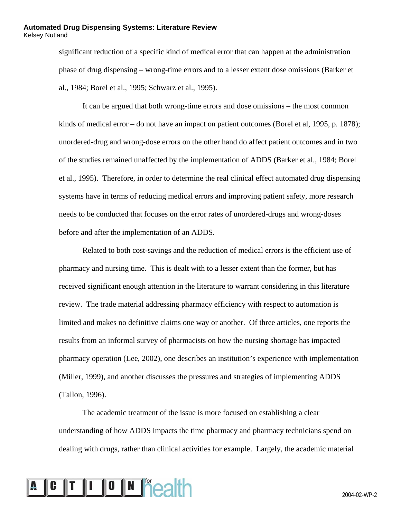significant reduction of a specific kind of medical error that can happen at the administration phase of drug dispensing – wrong-time errors and to a lesser extent dose omissions (Barker et al., 1984; Borel et al., 1995; Schwarz et al., 1995).

It can be argued that both wrong-time errors and dose omissions – the most common kinds of medical error – do not have an impact on patient outcomes (Borel et al, 1995, p. 1878); unordered-drug and wrong-dose errors on the other hand do affect patient outcomes and in two of the studies remained unaffected by the implementation of ADDS (Barker et al., 1984; Borel et al., 1995). Therefore, in order to determine the real clinical effect automated drug dispensing systems have in terms of reducing medical errors and improving patient safety, more research needs to be conducted that focuses on the error rates of unordered-drugs and wrong-doses before and after the implementation of an ADDS.

Related to both cost-savings and the reduction of medical errors is the efficient use of pharmacy and nursing time. This is dealt with to a lesser extent than the former, but has received significant enough attention in the literature to warrant considering in this literature review. The trade material addressing pharmacy efficiency with respect to automation is limited and makes no definitive claims one way or another. Of three articles, one reports the results from an informal survey of pharmacists on how the nursing shortage has impacted pharmacy operation (Lee, 2002), one describes an institution's experience with implementation (Miller, 1999), and another discusses the pressures and strategies of implementing ADDS (Tallon, 1996).

The academic treatment of the issue is more focused on establishing a clear understanding of how ADDS impacts the time pharmacy and pharmacy technicians spend on dealing with drugs, rather than clinical activities for example. Largely, the academic material

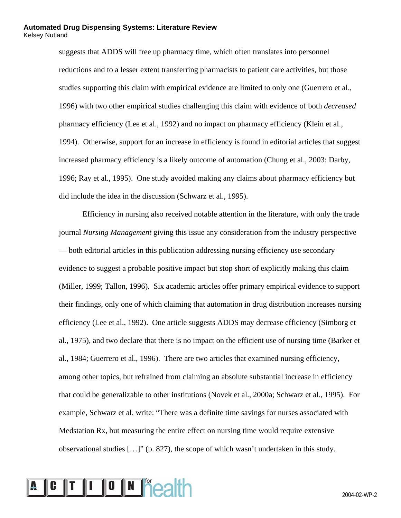suggests that ADDS will free up pharmacy time, which often translates into personnel reductions and to a lesser extent transferring pharmacists to patient care activities, but those studies supporting this claim with empirical evidence are limited to only one (Guerrero et al., 1996) with two other empirical studies challenging this claim with evidence of both *decreased* pharmacy efficiency (Lee et al., 1992) and no impact on pharmacy efficiency (Klein et al., 1994). Otherwise, support for an increase in efficiency is found in editorial articles that suggest increased pharmacy efficiency is a likely outcome of automation (Chung et al., 2003; Darby, 1996; Ray et al., 1995). One study avoided making any claims about pharmacy efficiency but did include the idea in the discussion (Schwarz et al., 1995).

Efficiency in nursing also received notable attention in the literature, with only the trade journal *Nursing Management* giving this issue any consideration from the industry perspective –– both editorial articles in this publication addressing nursing efficiency use secondary evidence to suggest a probable positive impact but stop short of explicitly making this claim (Miller, 1999; Tallon, 1996). Six academic articles offer primary empirical evidence to support their findings, only one of which claiming that automation in drug distribution increases nursing efficiency (Lee et al., 1992). One article suggests ADDS may decrease efficiency (Simborg et al., 1975), and two declare that there is no impact on the efficient use of nursing time (Barker et al., 1984; Guerrero et al., 1996). There are two articles that examined nursing efficiency, among other topics, but refrained from claiming an absolute substantial increase in efficiency that could be generalizable to other institutions (Novek et al., 2000a; Schwarz et al., 1995). For example, Schwarz et al. write: "There was a definite time savings for nurses associated with Medstation Rx, but measuring the entire effect on nursing time would require extensive observational studies […]" (p. 827), the scope of which wasn't undertaken in this study.

### A C T I O N **F**CALL COMPLETED A 2004-02-WP-2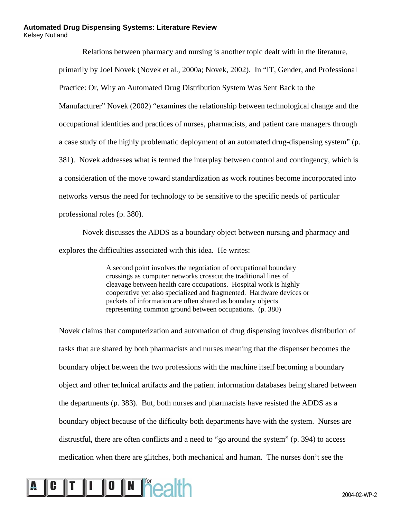Relations between pharmacy and nursing is another topic dealt with in the literature, primarily by Joel Novek (Novek et al., 2000a; Novek, 2002). In "IT, Gender, and Professional Practice: Or, Why an Automated Drug Distribution System Was Sent Back to the Manufacturer" Novek (2002) "examines the relationship between technological change and the occupational identities and practices of nurses, pharmacists, and patient care managers through a case study of the highly problematic deployment of an automated drug-dispensing system" (p. 381). Novek addresses what is termed the interplay between control and contingency, which is a consideration of the move toward standardization as work routines become incorporated into networks versus the need for technology to be sensitive to the specific needs of particular professional roles (p. 380).

Novek discusses the ADDS as a boundary object between nursing and pharmacy and explores the difficulties associated with this idea. He writes:

> A second point involves the negotiation of occupational boundary crossings as computer networks crosscut the traditional lines of cleavage between health care occupations. Hospital work is highly cooperative yet also specialized and fragmented. Hardware devices or packets of information are often shared as boundary objects representing common ground between occupations. (p. 380)

Novek claims that computerization and automation of drug dispensing involves distribution of tasks that are shared by both pharmacists and nurses meaning that the dispenser becomes the boundary object between the two professions with the machine itself becoming a boundary object and other technical artifacts and the patient information databases being shared between the departments (p. 383). But, both nurses and pharmacists have resisted the ADDS as a boundary object because of the difficulty both departments have with the system. Nurses are distrustful, there are often conflicts and a need to "go around the system" (p. 394) to access medication when there are glitches, both mechanical and human. The nurses don't see the

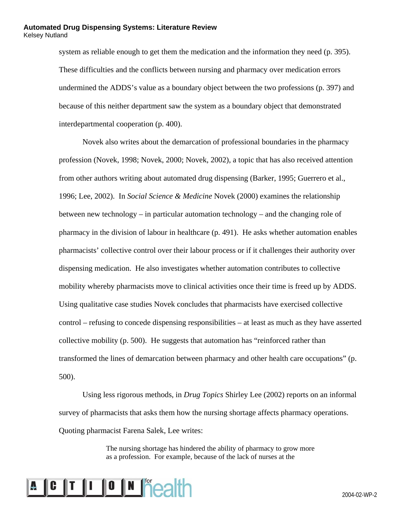system as reliable enough to get them the medication and the information they need (p. 395). These difficulties and the conflicts between nursing and pharmacy over medication errors undermined the ADDS's value as a boundary object between the two professions (p. 397) and because of this neither department saw the system as a boundary object that demonstrated interdepartmental cooperation (p. 400).

Novek also writes about the demarcation of professional boundaries in the pharmacy profession (Novek, 1998; Novek, 2000; Novek, 2002), a topic that has also received attention from other authors writing about automated drug dispensing (Barker, 1995; Guerrero et al., 1996; Lee, 2002). In *Social Science & Medicine* Novek (2000) examines the relationship between new technology – in particular automation technology – and the changing role of pharmacy in the division of labour in healthcare (p. 491). He asks whether automation enables pharmacists' collective control over their labour process or if it challenges their authority over dispensing medication. He also investigates whether automation contributes to collective mobility whereby pharmacists move to clinical activities once their time is freed up by ADDS. Using qualitative case studies Novek concludes that pharmacists have exercised collective control – refusing to concede dispensing responsibilities – at least as much as they have asserted collective mobility (p. 500). He suggests that automation has "reinforced rather than transformed the lines of demarcation between pharmacy and other health care occupations" (p. 500).

Using less rigorous methods, in *Drug Topics* Shirley Lee (2002) reports on an informal survey of pharmacists that asks them how the nursing shortage affects pharmacy operations. Quoting pharmacist Farena Salek, Lee writes:

> The nursing shortage has hindered the ability of pharmacy to grow more as a profession. For example, because of the lack of nurses at the

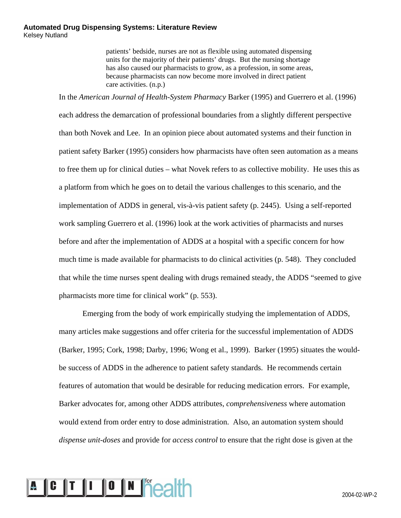patients' bedside, nurses are not as flexible using automated dispensing units for the majority of their patients' drugs. But the nursing shortage has also caused our pharmacists to grow, as a profession, in some areas, because pharmacists can now become more involved in direct patient care activities. (n.p.)

In the *American Journal of Health-System Pharmacy* Barker (1995) and Guerrero et al. (1996) each address the demarcation of professional boundaries from a slightly different perspective than both Novek and Lee. In an opinion piece about automated systems and their function in patient safety Barker (1995) considers how pharmacists have often seen automation as a means to free them up for clinical duties – what Novek refers to as collective mobility. He uses this as a platform from which he goes on to detail the various challenges to this scenario, and the implementation of ADDS in general, vis-à-vis patient safety (p. 2445). Using a self-reported work sampling Guerrero et al. (1996) look at the work activities of pharmacists and nurses before and after the implementation of ADDS at a hospital with a specific concern for how much time is made available for pharmacists to do clinical activities (p. 548). They concluded that while the time nurses spent dealing with drugs remained steady, the ADDS "seemed to give pharmacists more time for clinical work" (p. 553).

Emerging from the body of work empirically studying the implementation of ADDS, many articles make suggestions and offer criteria for the successful implementation of ADDS (Barker, 1995; Cork, 1998; Darby, 1996; Wong et al., 1999). Barker (1995) situates the wouldbe success of ADDS in the adherence to patient safety standards. He recommends certain features of automation that would be desirable for reducing medication errors. For example, Barker advocates for, among other ADDS attributes, *comprehensiveness* where automation would extend from order entry to dose administration. Also, an automation system should *dispense unit-doses* and provide for *access control* to ensure that the right dose is given at the

# 2004-02-WP-2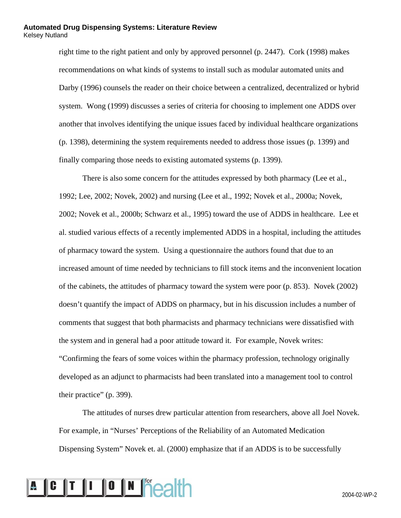right time to the right patient and only by approved personnel (p. 2447). Cork (1998) makes recommendations on what kinds of systems to install such as modular automated units and Darby (1996) counsels the reader on their choice between a centralized, decentralized or hybrid system. Wong (1999) discusses a series of criteria for choosing to implement one ADDS over another that involves identifying the unique issues faced by individual healthcare organizations (p. 1398), determining the system requirements needed to address those issues (p. 1399) and finally comparing those needs to existing automated systems (p. 1399).

There is also some concern for the attitudes expressed by both pharmacy (Lee et al., 1992; Lee, 2002; Novek, 2002) and nursing (Lee et al., 1992; Novek et al., 2000a; Novek, 2002; Novek et al., 2000b; Schwarz et al., 1995) toward the use of ADDS in healthcare. Lee et al. studied various effects of a recently implemented ADDS in a hospital, including the attitudes of pharmacy toward the system. Using a questionnaire the authors found that due to an increased amount of time needed by technicians to fill stock items and the inconvenient location of the cabinets, the attitudes of pharmacy toward the system were poor (p. 853). Novek (2002) doesn't quantify the impact of ADDS on pharmacy, but in his discussion includes a number of comments that suggest that both pharmacists and pharmacy technicians were dissatisfied with the system and in general had a poor attitude toward it. For example, Novek writes: "Confirming the fears of some voices within the pharmacy profession, technology originally developed as an adjunct to pharmacists had been translated into a management tool to control their practice" (p. 399).

The attitudes of nurses drew particular attention from researchers, above all Joel Novek. For example, in "Nurses' Perceptions of the Reliability of an Automated Medication Dispensing System" Novek et. al. (2000) emphasize that if an ADDS is to be successfully

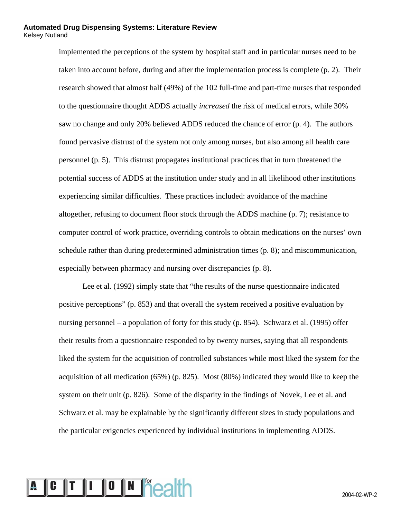implemented the perceptions of the system by hospital staff and in particular nurses need to be taken into account before, during and after the implementation process is complete (p. 2). Their research showed that almost half (49%) of the 102 full-time and part-time nurses that responded to the questionnaire thought ADDS actually *increased* the risk of medical errors, while 30% saw no change and only 20% believed ADDS reduced the chance of error (p. 4). The authors found pervasive distrust of the system not only among nurses, but also among all health care personnel (p. 5). This distrust propagates institutional practices that in turn threatened the potential success of ADDS at the institution under study and in all likelihood other institutions experiencing similar difficulties. These practices included: avoidance of the machine altogether, refusing to document floor stock through the ADDS machine (p. 7); resistance to computer control of work practice, overriding controls to obtain medications on the nurses' own schedule rather than during predetermined administration times (p. 8); and miscommunication, especially between pharmacy and nursing over discrepancies (p. 8).

Lee et al. (1992) simply state that "the results of the nurse questionnaire indicated positive perceptions" (p. 853) and that overall the system received a positive evaluation by nursing personnel – a population of forty for this study (p. 854). Schwarz et al. (1995) offer their results from a questionnaire responded to by twenty nurses, saying that all respondents liked the system for the acquisition of controlled substances while most liked the system for the acquisition of all medication (65%) (p. 825). Most (80%) indicated they would like to keep the system on their unit (p. 826). Some of the disparity in the findings of Novek, Lee et al. and Schwarz et al. may be explainable by the significantly different sizes in study populations and the particular exigencies experienced by individual institutions in implementing ADDS.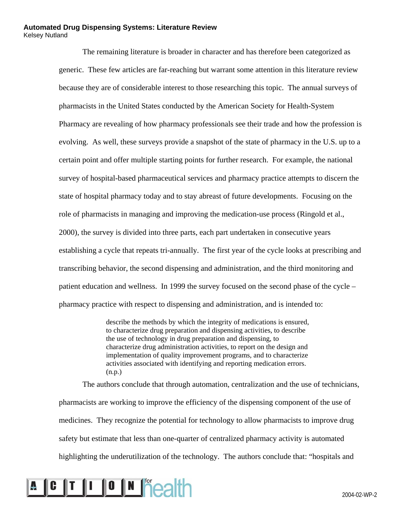The remaining literature is broader in character and has therefore been categorized as generic. These few articles are far-reaching but warrant some attention in this literature review because they are of considerable interest to those researching this topic. The annual surveys of pharmacists in the United States conducted by the American Society for Health-System Pharmacy are revealing of how pharmacy professionals see their trade and how the profession is evolving. As well, these surveys provide a snapshot of the state of pharmacy in the U.S. up to a certain point and offer multiple starting points for further research. For example, the national survey of hospital-based pharmaceutical services and pharmacy practice attempts to discern the state of hospital pharmacy today and to stay abreast of future developments. Focusing on the role of pharmacists in managing and improving the medication-use process (Ringold et al., 2000), the survey is divided into three parts, each part undertaken in consecutive years establishing a cycle that repeats tri-annually. The first year of the cycle looks at prescribing and transcribing behavior, the second dispensing and administration, and the third monitoring and patient education and wellness. In 1999 the survey focused on the second phase of the cycle – pharmacy practice with respect to dispensing and administration, and is intended to:

> describe the methods by which the integrity of medications is ensured, to characterize drug preparation and dispensing activities, to describe the use of technology in drug preparation and dispensing, to characterize drug administration activities, to report on the design and implementation of quality improvement programs, and to characterize activities associated with identifying and reporting medication errors. (n.p.)

The authors conclude that through automation, centralization and the use of technicians, pharmacists are working to improve the efficiency of the dispensing component of the use of medicines. They recognize the potential for technology to allow pharmacists to improve drug safety but estimate that less than one-quarter of centralized pharmacy activity is automated highlighting the underutilization of the technology. The authors conclude that: "hospitals and

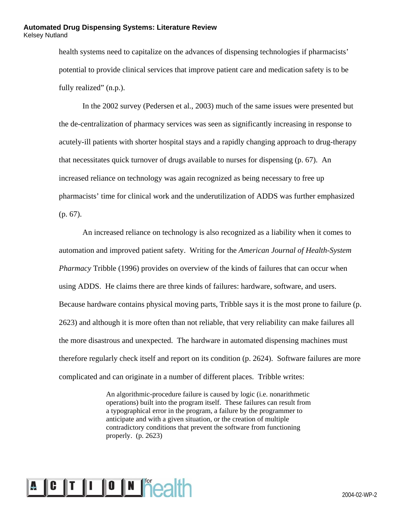health systems need to capitalize on the advances of dispensing technologies if pharmacists' potential to provide clinical services that improve patient care and medication safety is to be fully realized" (n.p.).

In the 2002 survey (Pedersen et al., 2003) much of the same issues were presented but the de-centralization of pharmacy services was seen as significantly increasing in response to acutely-ill patients with shorter hospital stays and a rapidly changing approach to drug-therapy that necessitates quick turnover of drugs available to nurses for dispensing (p. 67). An increased reliance on technology was again recognized as being necessary to free up pharmacists' time for clinical work and the underutilization of ADDS was further emphasized (p. 67).

An increased reliance on technology is also recognized as a liability when it comes to automation and improved patient safety. Writing for the *American Journal of Health-System Pharmacy* Tribble (1996) provides on overview of the kinds of failures that can occur when using ADDS. He claims there are three kinds of failures: hardware, software, and users. Because hardware contains physical moving parts, Tribble says it is the most prone to failure (p. 2623) and although it is more often than not reliable, that very reliability can make failures all the more disastrous and unexpected. The hardware in automated dispensing machines must therefore regularly check itself and report on its condition (p. 2624). Software failures are more complicated and can originate in a number of different places. Tribble writes:

> An algorithmic-procedure failure is caused by logic (i.e. nonarithmetic operations) built into the program itself. These failures can result from a typographical error in the program, a failure by the programmer to anticipate and with a given situation, or the creation of multiple contradictory conditions that prevent the software from functioning properly. (p. 2623)

# 2004-02-WP-2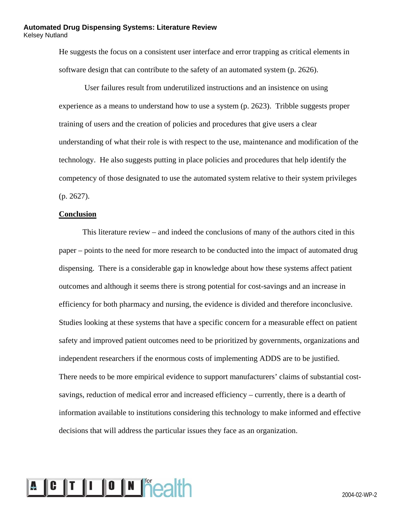He suggests the focus on a consistent user interface and error trapping as critical elements in software design that can contribute to the safety of an automated system (p. 2626).

 User failures result from underutilized instructions and an insistence on using experience as a means to understand how to use a system (p. 2623). Tribble suggests proper training of users and the creation of policies and procedures that give users a clear understanding of what their role is with respect to the use, maintenance and modification of the technology. He also suggests putting in place policies and procedures that help identify the competency of those designated to use the automated system relative to their system privileges (p. 2627).

#### **Conclusion**

This literature review – and indeed the conclusions of many of the authors cited in this paper – points to the need for more research to be conducted into the impact of automated drug dispensing. There is a considerable gap in knowledge about how these systems affect patient outcomes and although it seems there is strong potential for cost-savings and an increase in efficiency for both pharmacy and nursing, the evidence is divided and therefore inconclusive. Studies looking at these systems that have a specific concern for a measurable effect on patient safety and improved patient outcomes need to be prioritized by governments, organizations and independent researchers if the enormous costs of implementing ADDS are to be justified. There needs to be more empirical evidence to support manufacturers' claims of substantial costsavings, reduction of medical error and increased efficiency – currently, there is a dearth of information available to institutions considering this technology to make informed and effective decisions that will address the particular issues they face as an organization.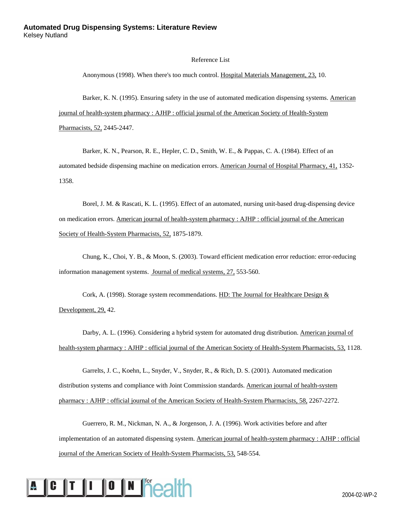#### Reference List

Anonymous (1998). When there's too much control. Hospital Materials Management, 23, 10.

Barker, K. N. (1995). Ensuring safety in the use of automated medication dispensing systems. American journal of health-system pharmacy : AJHP : official journal of the American Society of Health-System Pharmacists, 52, 2445-2447.

Barker, K. N., Pearson, R. E., Hepler, C. D., Smith, W. E., & Pappas, C. A. (1984). Effect of an automated bedside dispensing machine on medication errors. American Journal of Hospital Pharmacy, 41, 1352- 1358.

Borel, J. M. & Rascati, K. L. (1995). Effect of an automated, nursing unit-based drug-dispensing device on medication errors. American journal of health-system pharmacy : AJHP : official journal of the American Society of Health-System Pharmacists, 52, 1875-1879.

Chung, K., Choi, Y. B., & Moon, S. (2003). Toward efficient medication error reduction: error-reducing information management systems. Journal of medical systems, 27, 553-560.

Cork, A. (1998). Storage system recommendations. HD: The Journal for Healthcare Design  $&$ Development, 29, 42.

Darby, A. L. (1996). Considering a hybrid system for automated drug distribution. American journal of health-system pharmacy : AJHP : official journal of the American Society of Health-System Pharmacists, 53, 1128.

Garrelts, J. C., Koehn, L., Snyder, V., Snyder, R., & Rich, D. S. (2001). Automated medication distribution systems and compliance with Joint Commission standards. American journal of health-system pharmacy : AJHP : official journal of the American Society of Health-System Pharmacists, 58, 2267-2272.

Guerrero, R. M., Nickman, N. A., & Jorgenson, J. A. (1996). Work activities before and after implementation of an automated dispensing system. American journal of health-system pharmacy : AJHP : official journal of the American Society of Health-System Pharmacists, 53, 548-554.

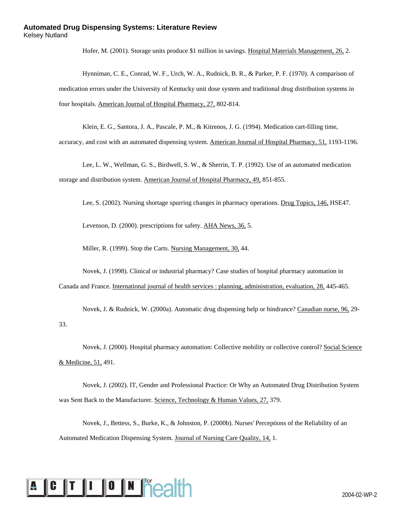Hofer, M. (2001). Storage units produce \$1 million in savings. Hospital Materials Management, 26, 2.

Hynniman, C. E., Conrad, W. F., Urch, W. A., Rudnick, B. R., & Parker, P. F. (1970). A comparison of medication errors under the University of Kentucky unit dose system and traditional drug distribution systems in four hospitals. American Journal of Hospital Pharmacy, 27, 802-814.

Klein, E. G., Santora, J. A., Pascale, P. M., & Kitrenos, J. G. (1994). Medication cart-filling time,

accuracy, and cost with an automated dispensing system. American Journal of Hospital Pharmacy, 51, 1193-1196.

Lee, L. W., Wellman, G. S., Birdwell, S. W., & Sherrin, T. P. (1992). Use of an automated medication storage and distribution system. American Journal of Hospital Pharmacy, 49, 851-855.

Lee, S. (2002). Nursing shortage spurring changes in pharmacy operations. Drug Topics, 146, HSE47.

Levenson, D. (2000). prescriptions for safety. AHA News, 36, 5.

Miller, R. (1999). Stop the Carts. Nursing Management, 30, 44.

Novek, J. (1998). Clinical or industrial pharmacy? Case studies of hospital pharmacy automation in Canada and France. International journal of health services : planning, administration, evaluation, 28, 445-465.

Novek, J. & Rudnick, W. (2000a). Automatic drug dispensing help or hindrance? Canadian nurse, 96, 29- 33.

Novek, J. (2000). Hospital pharmacy automation: Collective mobility or collective control? Social Science & Medicine, 51, 491.

Novek, J. (2002). IT, Gender and Professional Practice: Or Why an Automated Drug Distribution System was Sent Back to the Manufacturer. Science, Technology & Human Values, 27, 379.

Novek, J., Bettess, S., Burke, K., & Johnston, P. (2000b). Nurses' Perceptions of the Reliability of an Automated Medication Dispensing System. Journal of Nursing Care Quality, 14, 1.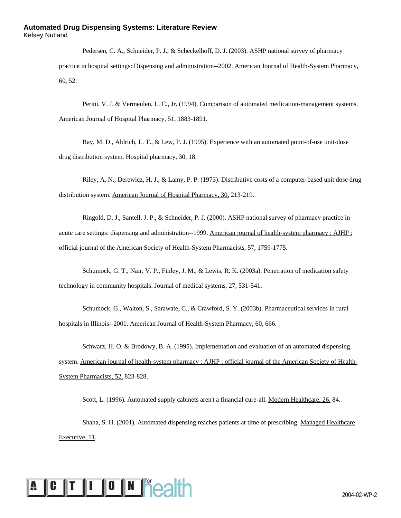Pedersen, C. A., Schneider, P. J., & Scheckelhoff, D. J. (2003). ASHP national survey of pharmacy practice in hospital settings: Dispensing and administration--2002. American Journal of Health-System Pharmacy, 60, 52.

Perini, V. J. & Vermeulen, L. C., Jr. (1994). Comparison of automated medication-management systems. American Journal of Hospital Pharmacy, 51, 1883-1891.

Ray, M. D., Aldrich, L. T., & Lew, P. J. (1995). Experience with an automated point-of-use unit-dose drug distribution system. Hospital pharmacy, 30, 18.

Riley, A. N., Derewicz, H. J., & Lamy, P. P. (1973). Distributive costs of a computer-based unit dose drug distribution system. American Journal of Hospital Pharmacy, 30, 213-219.

Ringold, D. J., Santell, J. P., & Schneider, P. J. (2000). ASHP national survey of pharmacy practice in acute care settings: dispensing and administration--1999. American journal of health-system pharmacy : AJHP : official journal of the American Society of Health-System Pharmacists, 57, 1759-1775.

Schumock, G. T., Nair, V. P., Finley, J. M., & Lewis, R. K. (2003a). Penetration of medication safety technology in community hospitals. Journal of medical systems, 27, 531-541.

Schumock, G., Walton, S., Sarawate, C., & Crawford, S. Y. (2003b). Pharmaceutical services in rural hospitals in Illinois--2001. American Journal of Health-System Pharmacy, 60, 666.

Schwarz, H. O. & Brodowy, B. A. (1995). Implementation and evaluation of an automated dispensing system. American journal of health-system pharmacy : AJHP : official journal of the American Society of Health-System Pharmacists, 52, 823-828.

Scott, L. (1996). Automated supply cabinets aren't a financial cure-all. Modern Healthcare, 26, 84.

Shaha, S. H. (2001). Automated dispensing reaches patients at time of prescribing. Managed Healthcare Executive, 11.